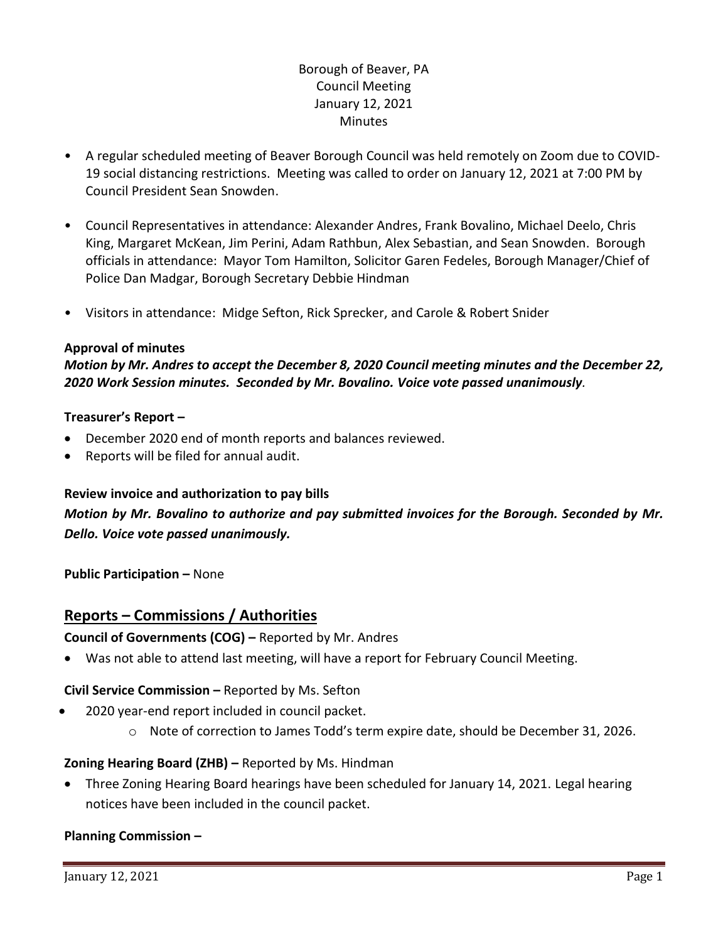# Borough of Beaver, PA Council Meeting January 12, 2021 **Minutes**

- A regular scheduled meeting of Beaver Borough Council was held remotely on Zoom due to COVID-19 social distancing restrictions. Meeting was called to order on January 12, 2021 at 7:00 PM by Council President Sean Snowden.
- Council Representatives in attendance: Alexander Andres, Frank Bovalino, Michael Deelo, Chris King, Margaret McKean, Jim Perini, Adam Rathbun, Alex Sebastian, and Sean Snowden. Borough officials in attendance: Mayor Tom Hamilton, Solicitor Garen Fedeles, Borough Manager/Chief of Police Dan Madgar, Borough Secretary Debbie Hindman
- Visitors in attendance: Midge Sefton, Rick Sprecker, and Carole & Robert Snider

## **Approval of minutes**

*Motion by Mr. Andres to accept the December 8, 2020 Council meeting minutes and the December 22, 2020 Work Session minutes. Seconded by Mr. Bovalino. Voice vote passed unanimously.* 

## **Treasurer's Report –**

- December 2020 end of month reports and balances reviewed.
- Reports will be filed for annual audit.

## **Review invoice and authorization to pay bills**

# *Motion by Mr. Bovalino to authorize and pay submitted invoices for the Borough. Seconded by Mr. Dello. Voice vote passed unanimously.*

**Public Participation –** None

# **Reports – Commissions / Authorities**

## **Council of Governments (COG) –** Reported by Mr. Andres

• Was not able to attend last meeting, will have a report for February Council Meeting.

## **Civil Service Commission –** Reported by Ms. Sefton

- 2020 year-end report included in council packet.
	- o Note of correction to James Todd's term expire date, should be December 31, 2026.

## **Zoning Hearing Board (ZHB) –** Reported by Ms. Hindman

• Three Zoning Hearing Board hearings have been scheduled for January 14, 2021. Legal hearing notices have been included in the council packet.

## **Planning Commission –**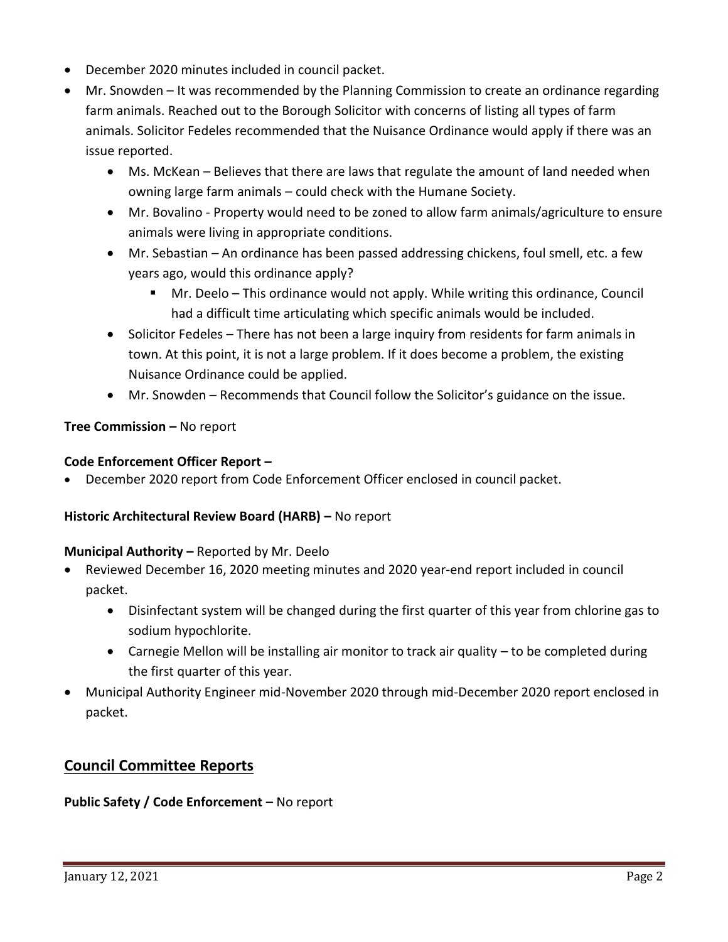- December 2020 minutes included in council packet.
- Mr. Snowden It was recommended by the Planning Commission to create an ordinance regarding farm animals. Reached out to the Borough Solicitor with concerns of listing all types of farm animals. Solicitor Fedeles recommended that the Nuisance Ordinance would apply if there was an issue reported.
	- Ms. McKean Believes that there are laws that regulate the amount of land needed when owning large farm animals – could check with the Humane Society.
	- Mr. Bovalino Property would need to be zoned to allow farm animals/agriculture to ensure animals were living in appropriate conditions.
	- Mr. Sebastian An ordinance has been passed addressing chickens, foul smell, etc. a few years ago, would this ordinance apply?
		- Mr. Deelo This ordinance would not apply. While writing this ordinance, Council had a difficult time articulating which specific animals would be included.
	- Solicitor Fedeles There has not been a large inquiry from residents for farm animals in town. At this point, it is not a large problem. If it does become a problem, the existing Nuisance Ordinance could be applied.
	- Mr. Snowden Recommends that Council follow the Solicitor's guidance on the issue.

# **Tree Commission –** No report

## **Code Enforcement Officer Report –**

• December 2020 report from Code Enforcement Officer enclosed in council packet.

# **Historic Architectural Review Board (HARB) –** No report

# **Municipal Authority –** Reported by Mr. Deelo

- Reviewed December 16, 2020 meeting minutes and 2020 year-end report included in council packet.
	- Disinfectant system will be changed during the first quarter of this year from chlorine gas to sodium hypochlorite.
	- Carnegie Mellon will be installing air monitor to track air quality to be completed during the first quarter of this year.
- Municipal Authority Engineer mid-November 2020 through mid-December 2020 report enclosed in packet.

# **Council Committee Reports**

# **Public Safety / Code Enforcement –** No report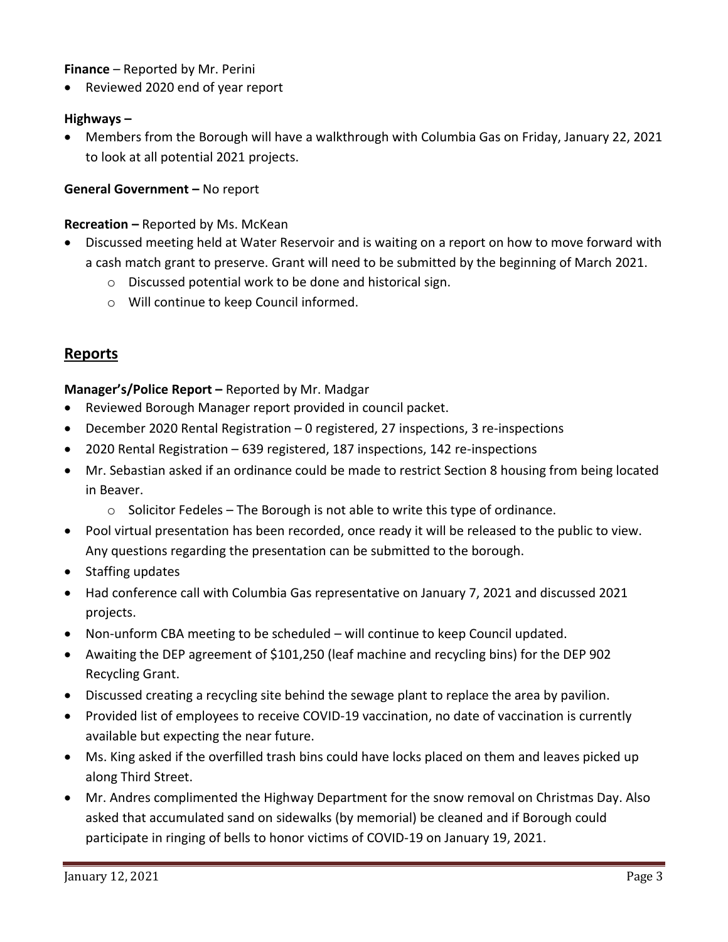## **Finance** – Reported by Mr. Perini

• Reviewed 2020 end of year report

#### **Highways –**

• Members from the Borough will have a walkthrough with Columbia Gas on Friday, January 22, 2021 to look at all potential 2021 projects.

## **General Government –** No report

#### **Recreation –** Reported by Ms. McKean

- Discussed meeting held at Water Reservoir and is waiting on a report on how to move forward with a cash match grant to preserve. Grant will need to be submitted by the beginning of March 2021.
	- o Discussed potential work to be done and historical sign.
	- o Will continue to keep Council informed.

# **Reports**

## **Manager's/Police Report –** Reported by Mr. Madgar

- Reviewed Borough Manager report provided in council packet.
- December 2020 Rental Registration 0 registered, 27 inspections, 3 re-inspections
- 2020 Rental Registration 639 registered, 187 inspections, 142 re-inspections
- Mr. Sebastian asked if an ordinance could be made to restrict Section 8 housing from being located in Beaver.
	- o Solicitor Fedeles The Borough is not able to write this type of ordinance.
- Pool virtual presentation has been recorded, once ready it will be released to the public to view. Any questions regarding the presentation can be submitted to the borough.
- Staffing updates
- Had conference call with Columbia Gas representative on January 7, 2021 and discussed 2021 projects.
- Non-unform CBA meeting to be scheduled will continue to keep Council updated.
- Awaiting the DEP agreement of \$101,250 (leaf machine and recycling bins) for the DEP 902 Recycling Grant.
- Discussed creating a recycling site behind the sewage plant to replace the area by pavilion.
- Provided list of employees to receive COVID-19 vaccination, no date of vaccination is currently available but expecting the near future.
- Ms. King asked if the overfilled trash bins could have locks placed on them and leaves picked up along Third Street.
- Mr. Andres complimented the Highway Department for the snow removal on Christmas Day. Also asked that accumulated sand on sidewalks (by memorial) be cleaned and if Borough could participate in ringing of bells to honor victims of COVID-19 on January 19, 2021.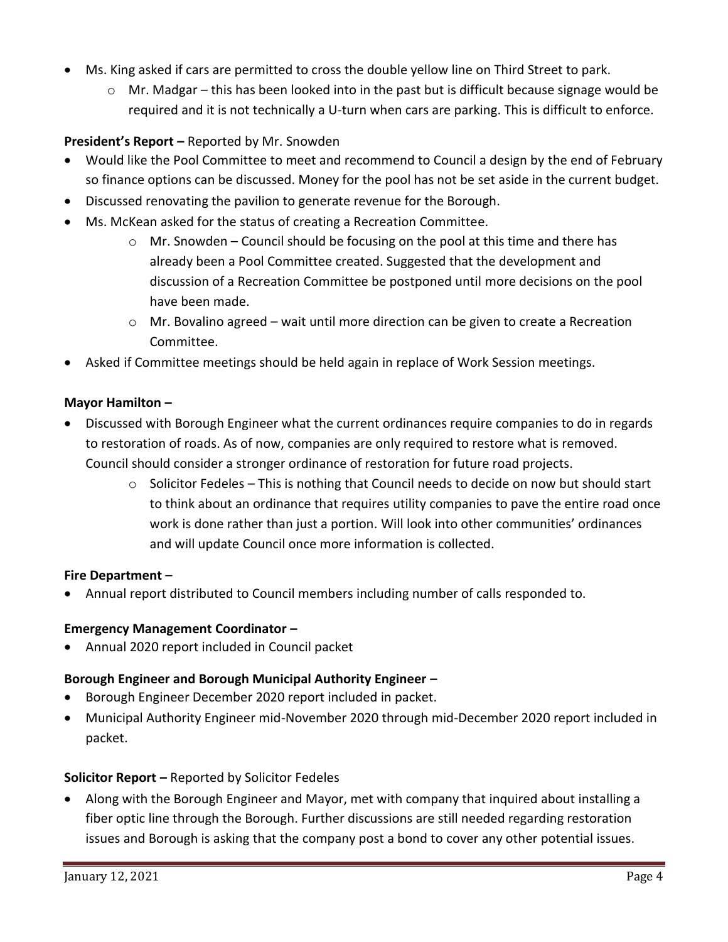- Ms. King asked if cars are permitted to cross the double yellow line on Third Street to park.
	- $\circ$  Mr. Madgar this has been looked into in the past but is difficult because signage would be required and it is not technically a U-turn when cars are parking. This is difficult to enforce.

# **President's Report –** Reported by Mr. Snowden

- Would like the Pool Committee to meet and recommend to Council a design by the end of February so finance options can be discussed. Money for the pool has not be set aside in the current budget.
- Discussed renovating the pavilion to generate revenue for the Borough.
- Ms. McKean asked for the status of creating a Recreation Committee.
	- o Mr. Snowden Council should be focusing on the pool at this time and there has already been a Pool Committee created. Suggested that the development and discussion of a Recreation Committee be postponed until more decisions on the pool have been made.
	- $\circ$  Mr. Bovalino agreed wait until more direction can be given to create a Recreation Committee.
- Asked if Committee meetings should be held again in replace of Work Session meetings.

## **Mayor Hamilton –**

- Discussed with Borough Engineer what the current ordinances require companies to do in regards to restoration of roads. As of now, companies are only required to restore what is removed. Council should consider a stronger ordinance of restoration for future road projects.
	- o Solicitor Fedeles This is nothing that Council needs to decide on now but should start to think about an ordinance that requires utility companies to pave the entire road once work is done rather than just a portion. Will look into other communities' ordinances and will update Council once more information is collected.

# **Fire Department** –

• Annual report distributed to Council members including number of calls responded to.

## **Emergency Management Coordinator –**

• Annual 2020 report included in Council packet

## **Borough Engineer and Borough Municipal Authority Engineer –**

- Borough Engineer December 2020 report included in packet.
- Municipal Authority Engineer mid-November 2020 through mid-December 2020 report included in packet.

# **Solicitor Report –** Reported by Solicitor Fedeles

• Along with the Borough Engineer and Mayor, met with company that inquired about installing a fiber optic line through the Borough. Further discussions are still needed regarding restoration issues and Borough is asking that the company post a bond to cover any other potential issues.